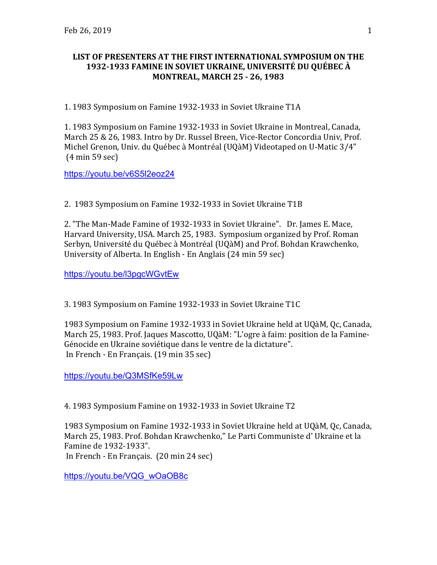## **LIST OF PRESENTERS AT THE FIRST INTERNATIONAL SYMPOSIUM ON THE 1932-1933 FAMINE IN SOVIET UKRAINE, UNIVERSITÉ DU QUÉBEC À MONTREAL, MARCH 25 - 26, 1983**

1. 1983 Symposium on Famine 1932-1933 in Soviet Ukraine T1A

1. 1983 Symposium on Famine 1932-1933 in Soviet Ukraine in Montreal, Canada, March 25 & 26, 1983. Intro by Dr. Russel Breen, Vice-Rector Concordia Univ, Prof. Michel Grenon, Univ. du Québec à Montréal (UQàM) Videotaped on U-Matic 3/4"  $(4 \text{ min } 59 \text{ sec})$ 

https://youtu.be/v6S5l2eoz24

2. 1983 Symposium on Famine 1932-1933 in Soviet Ukraine T1B

2. "The Man-Made Famine of 1932-1933 in Soviet Ukraine". Dr. James E. Mace, Harvard University, USA. March 25, 1983. Symposium organized by Prof. Roman Serbyn, Université du Québec à Montréal (UQàM) and Prof. Bohdan Krawchenko, University of Alberta. In English - En Anglais (24 min 59 sec)

https://youtu.be/l3pgcWGvtEw

3. 1983 Symposium on Famine 1932-1933 in Soviet Ukraine T1C

1983 Symposium on Famine 1932-1933 in Soviet Ukraine held at UQàM, Qc, Canada, March 25, 1983. Prof. Jaques Mascotto, UQàM: "L'ogre à faim: position de la Famine-Génocide en Ukraine soviétique dans le ventre de la dictature". In French - En Français. (19 min 35 sec)

https://youtu.be/Q3MSfKe59Lw

4. 1983 Symposium Famine on 1932-1933 in Soviet Ukraine T2

1983 Symposium on Famine 1932-1933 in Soviet Ukraine held at UQàM, Qc, Canada, March 25, 1983. Prof. Bohdan Krawchenko," Le Parti Communiste d' Ukraine et la Famine de 1932-1933". In French - En Français.  $(20 \text{ min } 24 \text{ sec})$ 

https://youtu.be/VQG\_wOaOB8c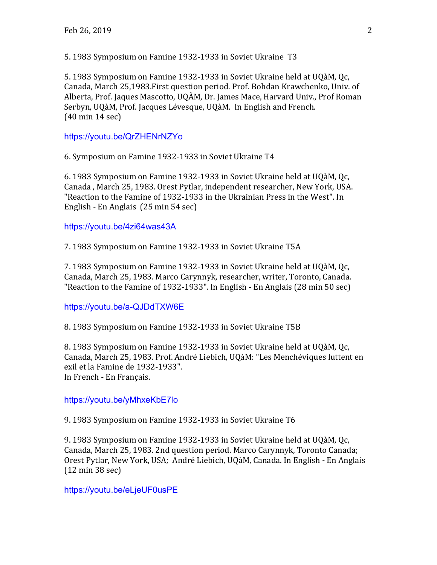5. 1983 Symposium on Famine 1932-1933 in Soviet Ukraine T3

5. 1983 Symposium on Famine 1932-1933 in Soviet Ukraine held at UQàM, Oc. Canada, March 25,1983. First question period. Prof. Bohdan Krawchenko, Univ. of Alberta, Prof. Jaques Mascotto, UQÀM, Dr. James Mace, Harvard Univ., Prof Roman Serbyn, UQàM, Prof. Jacques Lévesque, UQàM. In English and French.  $(40 \text{ min } 14 \text{ sec})$ 

https://youtu.be/QrZHENrNZYo

6. Symposium on Famine 1932-1933 in Soviet Ukraine T4

6. 1983 Symposium on Famine 1932-1933 in Soviet Ukraine held at UQàM, Qc, Canada, March 25, 1983. Orest Pytlar, independent researcher, New York, USA. "Reaction to the Famine of 1932-1933 in the Ukrainian Press in the West". In English - En Anglais  $(25 \text{ min } 54 \text{ sec})$ 

## https://youtu.be/4zi64was43A

7. 1983 Symposium on Famine 1932-1933 in Soviet Ukraine T5A

7. 1983 Symposium on Famine 1932-1933 in Soviet Ukraine held at UQàM, Qc, Canada, March 25, 1983. Marco Carynnyk, researcher, writer, Toronto, Canada. "Reaction to the Famine of 1932-1933". In English - En Anglais (28 min 50 sec)

## https://youtu.be/a-QJDdTXW6E

8. 1983 Symposium on Famine 1932-1933 in Soviet Ukraine T5B

8. 1983 Symposium on Famine 1932-1933 in Soviet Ukraine held at UQàM, Qc, Canada, March 25, 1983. Prof. André Liebich, UQàM: "Les Menchéviques luttent en exil et la Famine de 1932-1933". In French - En Français.

https://youtu.be/yMhxeKbE7lo

9. 1983 Symposium on Famine 1932-1933 in Soviet Ukraine T6

9. 1983 Symposium on Famine 1932-1933 in Soviet Ukraine held at UQàM, Oc. Canada, March 25, 1983. 2nd question period. Marco Carynnyk, Toronto Canada; Orest Pytlar, New York, USA; André Liebich, UQàM, Canada. In English - En Anglais  $(12 \text{ min } 38 \text{ sec})$ 

https://youtu.be/eLjeUF0usPE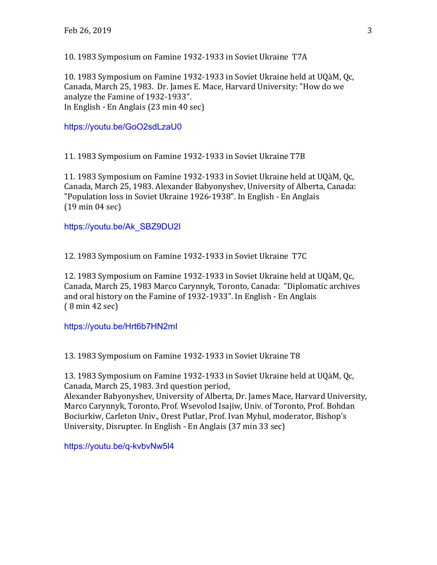10. 1983 Symposium on Famine 1932-1933 in Soviet Ukraine T7A

10. 1983 Symposium on Famine 1932-1933 in Soviet Ukraine held at UQàM, Qc, Canada, March 25, 1983. Dr. James E. Mace, Harvard University: "How do we analyze the Famine of 1932-1933". In English - En Anglais  $(23 \text{ min } 40 \text{ sec})$ 

https://youtu.be/GoO2sdLzaU0

11. 1983 Symposium on Famine 1932-1933 in Soviet Ukraine T7B

11. 1983 Symposium on Famine 1932-1933 in Soviet Ukraine held at UQàM, Qc, Canada, March 25, 1983. Alexander Babyonyshev, University of Alberta, Canada: "Population loss in Soviet Ukraine 1926-1938". In English - En Anglais  $(19 \text{ min } 04 \text{ sec})$ 

https://youtu.be/Ak\_SBZ9DU2I

12. 1983 Symposium on Famine 1932-1933 in Soviet Ukraine T7C

12. 1983 Symposium on Famine 1932-1933 in Soviet Ukraine held at UQàM, Qc, Canada, March 25, 1983 Marco Carynnyk, Toronto, Canada: "Diplomatic archives and oral history on the Famine of 1932-1933". In English - En Anglais  $(8 \text{ min } 42 \text{ sec})$ 

https://youtu.be/Hrt6b7HN2mI

13. 1983 Symposium on Famine 1932-1933 in Soviet Ukraine T8

13. 1983 Symposium on Famine 1932-1933 in Soviet Ukraine held at UQàM, Qc, Canada, March 25, 1983. 3rd question period, Alexander Babyonyshev, University of Alberta, Dr. James Mace, Harvard University, Marco Carynnyk, Toronto, Prof. Wsevolod Isajiw, Univ. of Toronto, Prof. Bohdan Bociurkiw, Carleton Univ., Orest Putlar, Prof. Ivan Myhul, moderator, Bishop's University, Disrupter. In English - En Anglais (37 min 33 sec)

https://youtu.be/q-kvbvNw5l4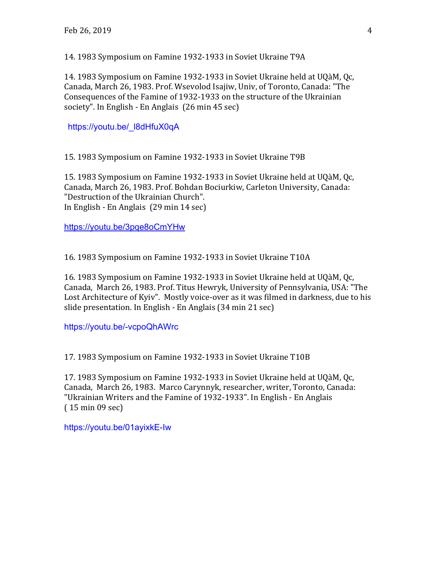14. 1983 Symposium on Famine 1932-1933 in Soviet Ukraine T9A

14. 1983 Symposium on Famine 1932-1933 in Soviet Ukraine held at UQàM, Oc. Canada, March 26, 1983. Prof. Wsevolod Isajiw, Univ, of Toronto, Canada: "The Consequences of the Famine of 1932-1933 on the structure of the Ukrainian society". In English - En Anglais  $(26 \text{ min } 45 \text{ sec})$ 

https://youtu.be/\_l8dHfuX0qA

15. 1983 Symposium on Famine 1932-1933 in Soviet Ukraine T9B

15. 1983 Symposium on Famine 1932-1933 in Soviet Ukraine held at UQàM, Qc, Canada, March 26, 1983. Prof. Bohdan Bociurkiw, Carleton University, Canada: "Destruction of the Ukrainian Church". In English - En Anglais  $(29 \text{ min } 14 \text{ sec})$ 

https://youtu.be/3pqe8oCmYHw

16. 1983 Symposium on Famine 1932-1933 in Soviet Ukraine T10A

16. 1983 Symposium on Famine 1932-1933 in Soviet Ukraine held at UQàM, Qc, Canada, March 26, 1983. Prof. Titus Hewryk, University of Pennsylvania, USA: "The Lost Architecture of Kyiv". Mostly voice-over as it was filmed in darkness, due to his slide presentation. In English - En Anglais  $(34 \text{ min } 21 \text{ sec})$ 

https://youtu.be/-vcpoQhAWrc

17. 1983 Symposium on Famine 1932-1933 in Soviet Ukraine T10B

17. 1983 Symposium on Famine 1932-1933 in Soviet Ukraine held at UQàM, Oc. Canada, March 26, 1983. Marco Carynnyk, researcher, writer, Toronto, Canada: "Ukrainian Writers and the Famine of 1932-1933". In English - En Anglais  $(15 \text{ min } 09 \text{ sec})$ 

https://youtu.be/01ayixkE-Iw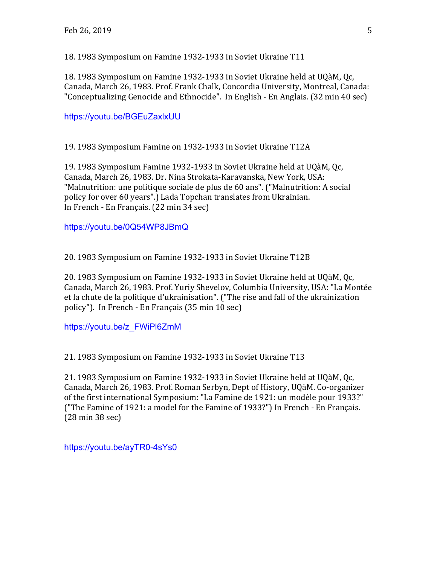18. 1983 Symposium on Famine 1932-1933 in Soviet Ukraine T11

18. 1983 Symposium on Famine 1932-1933 in Soviet Ukraine held at UQàM, Qc, Canada, March 26, 1983. Prof. Frank Chalk, Concordia University, Montreal, Canada: "Conceptualizing Genocide and Ethnocide". In English - En Anglais. (32 min 40 sec)

https://youtu.be/BGEuZaxlxUU

19. 1983 Symposium Famine on 1932-1933 in Soviet Ukraine T12A

19. 1983 Symposium Famine 1932-1933 in Soviet Ukraine held at UQàM, Qc, Canada, March 26, 1983. Dr. Nina Strokata-Karavanska, New York, USA: "Malnutrition: une politique sociale de plus de 60 ans". ("Malnutrition: A social policy for over 60 years".) Lada Topchan translates from Ukrainian. In French - En Français. (22 min 34 sec)

https://youtu.be/0Q54WP8JBmQ

20. 1983 Symposium on Famine 1932-1933 in Soviet Ukraine T12B

20. 1983 Symposium on Famine 1932-1933 in Soviet Ukraine held at UQàM, Qc, Canada, March 26, 1983. Prof. Yuriy Shevelov, Columbia University, USA: "La Montée et la chute de la politique d'ukrainisation". ("The rise and fall of the ukrainization policy"). In French - En Français (35 min 10 sec)

https://youtu.be/z\_FWiPl6ZmM

21. 1983 Symposium on Famine 1932-1933 in Soviet Ukraine T13

21. 1983 Symposium on Famine 1932-1933 in Soviet Ukraine held at UQàM, Oc. Canada, March 26, 1983. Prof. Roman Serbyn, Dept of History, UQàM. Co-organizer of the first international Symposium: "La Famine de 1921: un modèle pour 1933?" ("The Famine of 1921: a model for the Famine of 1933?") In French - En Français.  $(28 \text{ min } 38 \text{ sec})$ 

https://youtu.be/ayTR0-4sYs0